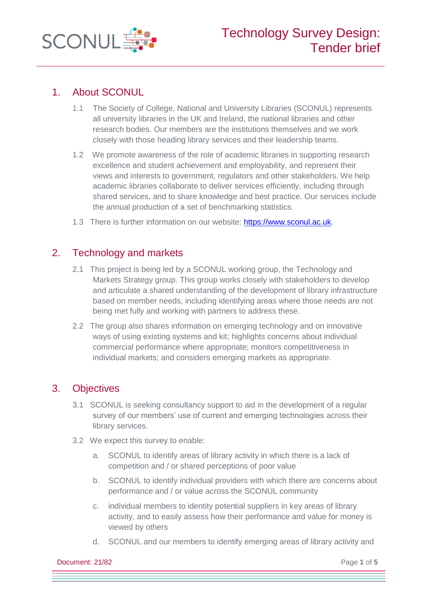

# 1. About SCONUL

- 1.1 The Society of College, National and University Libraries (SCONUL) represents all university libraries in the UK and Ireland, the national libraries and other research bodies. Our members are the institutions themselves and we work closely with those heading library services and their leadership teams.
- 1.2 We promote awareness of the role of academic libraries in supporting research excellence and student achievement and employability, and represent their views and interests to government, regulators and other stakeholders. We help academic libraries collaborate to deliver services efficiently, including through shared services, and to share knowledge and best practice. Our services include the annual production of a set of benchmarking statistics.
- 1.3 There is further information on our website: [https://www.sconul.ac.uk.](https://www.sconul.ac.uk/)

## 2. Technology and markets

- 2.1 This project is being led by a SCONUL working group, the Technology and Markets Strategy group. This group works closely with stakeholders to develop and articulate a shared understanding of the development of library infrastructure based on member needs, including identifying areas where those needs are not being met fully and working with partners to address these.
- 2.2 The group also shares information on emerging technology and on innovative ways of using existing systems and kit; highlights concerns about individual commercial performance where appropriate; monitors competitiveness in individual markets; and considers emerging markets as appropriate.

## 3. Objectives

- 3.1 SCONUL is seeking consultancy support to aid in the development of a regular survey of our members' use of current and emerging technologies across their library services.
- 3.2 We expect this survey to enable:
	- a. SCONUL to identify areas of library activity in which there is a lack of competition and / or shared perceptions of poor value
	- b. SCONUL to identify individual providers with which there are concerns about performance and / or value across the SCONUL community
	- c. individual members to identity potential suppliers in key areas of library activity, and to easily assess how their performance and value for money is viewed by others
	- d. SCONUL and our members to identify emerging areas of library activity and

**Document: 21/82** Page 1 of 5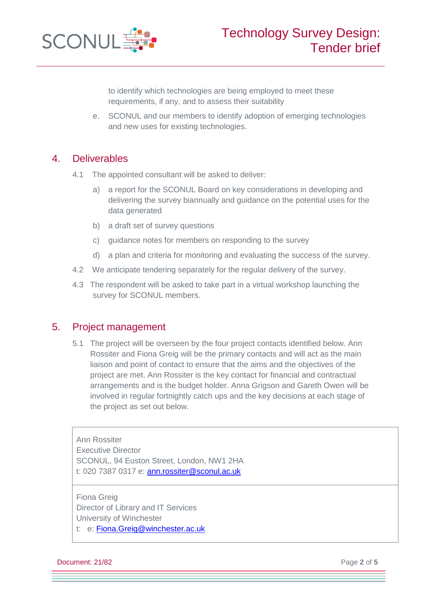

to identify which technologies are being employed to meet these requirements, if any, and to assess their suitability

e. SCONUL and our members to identify adoption of emerging technologies and new uses for existing technologies.

## 4. Deliverables

- 4.1 The appointed consultant will be asked to deliver:
	- a) a report for the SCONUL Board on key considerations in developing and delivering the survey biannually and guidance on the potential uses for the data generated
	- b) a draft set of survey questions
	- c) guidance notes for members on responding to the survey
	- d) a plan and criteria for monitoring and evaluating the success of the survey.
- 4.2 We anticipate tendering separately for the regular delivery of the survey.
- 4.3 The respondent will be asked to take part in a virtual workshop launching the survey for SCONUL members.

## 5. Project management

5.1 The project will be overseen by the four project contacts identified below. Ann Rossiter and Fiona Greig will be the primary contacts and will act as the main liaison and point of contact to ensure that the aims and the objectives of the project are met. Ann Rossiter is the key contact for financial and contractual arrangements and is the budget holder. Anna Grigson and Gareth Owen will be involved in regular fortnightly catch ups and the key decisions at each stage of the project as set out below.

Ann Rossiter Executive Director SCONUL, 94 Euston Street, London, NW1 2HA t: 020 7387 0317 e: [ann.rossiter@sconul.ac.uk](mailto:ann.rossiter@sconul.ac.uk)

Fiona Greig Director of Library and IT Services University of Winchester t: e: [Fiona.Greig@winchester.ac.uk](mailto:Fiona.Greig@winchester.ac.uk)

**Document: 21/82** Page 2 of 5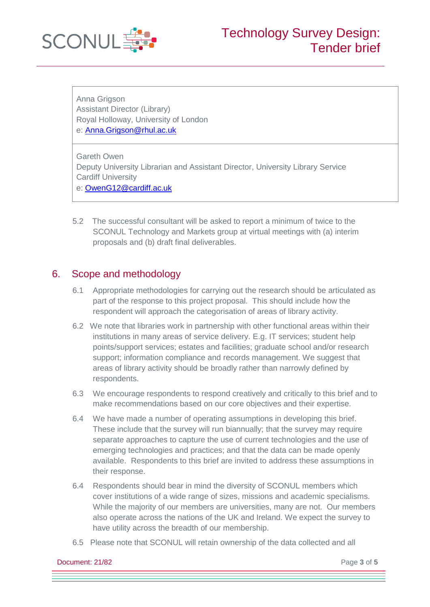

Anna Grigson Assistant Director (Library) Royal Holloway, University of London e: [Anna.Grigson@rhul.ac.uk](mailto:Anna.Grigson@rhul.ac.uk)

Gareth Owen Deputy University Librarian and Assistant Director, University Library Service Cardiff University e: [OwenG12@cardiff.ac.uk](mailto:OwenG12@cardiff.ac.uk)

5.2 The successful consultant will be asked to report a minimum of twice to the SCONUL Technology and Markets group at virtual meetings with (a) interim proposals and (b) draft final deliverables.

## 6. Scope and methodology

- 6.1 Appropriate methodologies for carrying out the research should be articulated as part of the response to this project proposal. This should include how the respondent will approach the categorisation of areas of library activity.
- 6.2 We note that libraries work in partnership with other functional areas within their institutions in many areas of service delivery. E.g. IT services; student help points/support services; estates and facilities; graduate school and/or research support; information compliance and records management. We suggest that areas of library activity should be broadly rather than narrowly defined by respondents.
- 6.3 We encourage respondents to respond creatively and critically to this brief and to make recommendations based on our core objectives and their expertise.
- 6.4 We have made a number of operating assumptions in developing this brief. These include that the survey will run biannually; that the survey may require separate approaches to capture the use of current technologies and the use of emerging technologies and practices; and that the data can be made openly available. Respondents to this brief are invited to address these assumptions in their response.
- 6.4 Respondents should bear in mind the diversity of SCONUL members which cover institutions of a wide range of sizes, missions and academic specialisms. While the majority of our members are universities, many are not. Our members also operate across the nations of the UK and Ireland. We expect the survey to have utility across the breadth of our membership.
- 6.5 Please note that SCONUL will retain ownership of the data collected and all

**Document: 21/82** Page 3 of 5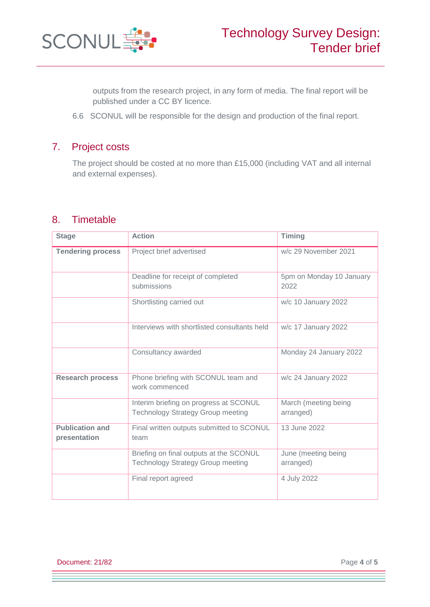

outputs from the research project, in any form of media. The final report will be published under a CC BY licence.

6.6 SCONUL will be responsible for the design and production of the final report.

## 7. Project costs

The project should be costed at no more than £15,000 (including VAT and all internal and external expenses).

## 8. Timetable

| <b>Stage</b>                           | <b>Action</b>                                                                       | <b>Timing</b>                     |
|----------------------------------------|-------------------------------------------------------------------------------------|-----------------------------------|
| <b>Tendering process</b>               | Project brief advertised                                                            | w/c 29 November 2021              |
|                                        | Deadline for receipt of completed<br>submissions                                    | 5pm on Monday 10 January<br>2022  |
|                                        | Shortlisting carried out                                                            | w/c 10 January 2022               |
|                                        | Interviews with shortlisted consultants held                                        | w/c 17 January 2022               |
|                                        | Consultancy awarded                                                                 | Monday 24 January 2022            |
| <b>Research process</b>                | Phone briefing with SCONUL team and<br>work commenced                               | w/c 24 January 2022               |
|                                        | Interim briefing on progress at SCONUL<br><b>Technology Strategy Group meeting</b>  | March (meeting being<br>arranged) |
| <b>Publication and</b><br>presentation | Final written outputs submitted to SCONUL<br>team                                   | 13 June 2022                      |
|                                        | Briefing on final outputs at the SCONUL<br><b>Technology Strategy Group meeting</b> | June (meeting being<br>arranged)  |
|                                        | Final report agreed                                                                 | 4 July 2022                       |